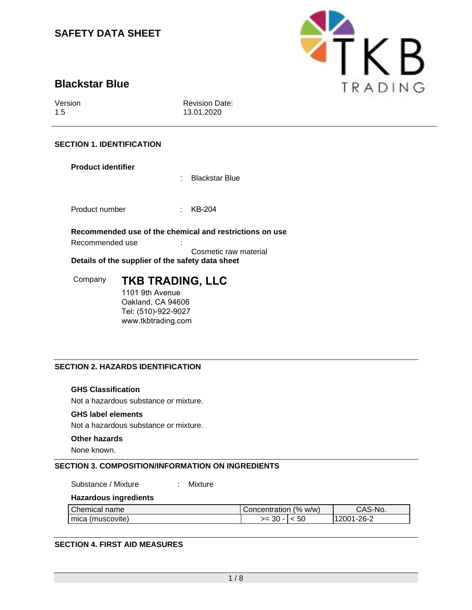

# **Blackstar Blue**

Version 1.5

Revision Date: 13.01.2020

# **SECTION 1. IDENTIFICATION**

# **Product identifier**

: Blackstar Blue

Product number : KB-204

**Recommended use of the chemical and restrictions on use**

Recommended use : :

Cosmetic raw material

**Details of the supplier of the safety data sheet**

Company **TKB TRADING, LLC** 1101 9th Avenue

Oakland, CA 94606 Tel: (510)-922-9027 www.tkbtrading.com

# **SECTION 2. HAZARDS IDENTIFICATION**

# **GHS Classification**

Not a hazardous substance or mixture.

### **GHS label elements**

Not a hazardous substance or mixture.

### **Other hazards**

None known.

# **SECTION 3. COMPOSITION/INFORMATION ON INGREDIENTS**

Substance / Mixture : Mixture

# **Hazardous ingredients**

| Chemical<br>name   | l Concentration | (% w/w) | CAS-No.       |
|--------------------|-----------------|---------|---------------|
| I mica (muscovite) | >= ∶<br>ುರ      | 5U      | 26-2<br>1017ء |

# **SECTION 4. FIRST AID MEASURES**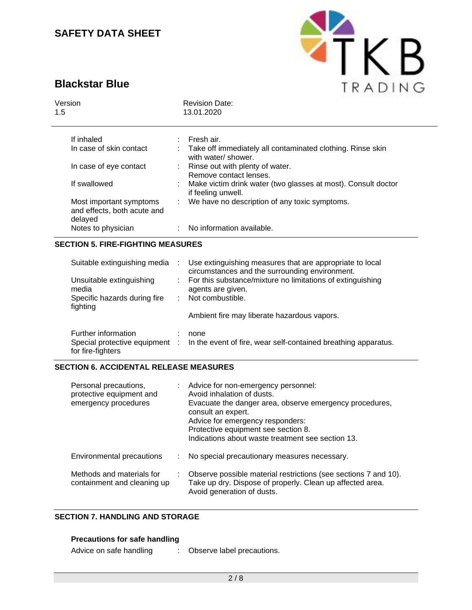# **Blackstar Blue**



| Version<br>1.5 |                                                                   | 그는 아이가 나면 어떻게 하는 사람들이 없어 보이지 않았다. 이 사람은 아이가 있어 있어.<br><b>Revision Date:</b><br>13.01.2020 |
|----------------|-------------------------------------------------------------------|-------------------------------------------------------------------------------------------|
|                | If inhaled                                                        | Fresh air.                                                                                |
|                | In case of skin contact                                           | : Take off immediately all contaminated clothing. Rinse skin<br>with water/shower.        |
|                | In case of eye contact                                            | : Rinse out with plenty of water.<br>Remove contact lenses.                               |
|                | If swallowed                                                      | Make victim drink water (two glasses at most). Consult doctor<br>if feeling unwell.       |
|                | Most important symptoms<br>and effects, both acute and<br>delayed | : We have no description of any toxic symptoms.                                           |
|                | Notes to physician                                                | : No information available.                                                               |

# **SECTION 5. FIRE-FIGHTING MEASURES**

| Suitable extinguishing media             | $\sim 100$ | Use extinguishing measures that are appropriate to local<br>circumstances and the surrounding environment. |
|------------------------------------------|------------|------------------------------------------------------------------------------------------------------------|
| Unsuitable extinguishing<br>media        |            | : For this substance/mixture no limitations of extinguishing<br>agents are given.                          |
| Specific hazards during fire<br>fighting |            | : Not combustible.                                                                                         |
|                                          |            | Ambient fire may liberate hazardous vapors.                                                                |
| Further information<br>for fire-fighters |            | none<br>Special protective equipment : In the event of fire, wear self-contained breathing apparatus.      |

# **SECTION 6. ACCIDENTAL RELEASE MEASURES**

| Personal precautions,<br>protective equipment and<br>emergency procedures | Advice for non-emergency personnel:<br>Avoid inhalation of dusts.<br>Evacuate the danger area, observe emergency procedures,<br>consult an expert.<br>Advice for emergency responders:<br>Protective equipment see section 8.<br>Indications about waste treatment see section 13. |
|---------------------------------------------------------------------------|------------------------------------------------------------------------------------------------------------------------------------------------------------------------------------------------------------------------------------------------------------------------------------|
| Environmental precautions                                                 | No special precautionary measures necessary.                                                                                                                                                                                                                                       |
| Methods and materials for<br>containment and cleaning up                  | Observe possible material restrictions (see sections 7 and 10).<br>Take up dry. Dispose of properly. Clean up affected area.<br>Avoid generation of dusts.                                                                                                                         |

# **SECTION 7. HANDLING AND STORAGE**

# **Precautions for safe handling**

| Advice on safe handling | Observe label precautions. |
|-------------------------|----------------------------|
|                         |                            |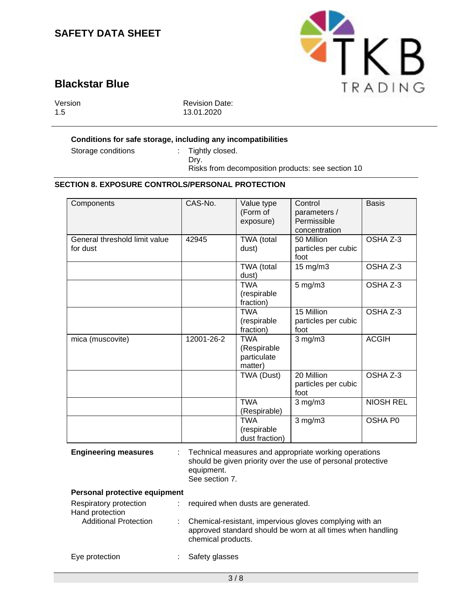

# **Blackstar Blue**

Version 1.5

Revision Date: 13.01.2020

### **Conditions for safe storage, including any incompatibilities**

Storage conditions : Tightly closed.

Dry. Risks from decomposition products: see section 10

# **SECTION 8. EXPOSURE CONTROLS/PERSONAL PROTECTION**

| Components                                | CAS-No.    | Value type<br>(Form of<br>exposure)                 | Control<br>parameters /<br>Permissible<br>concentration | <b>Basis</b>     |
|-------------------------------------------|------------|-----------------------------------------------------|---------------------------------------------------------|------------------|
| General threshold limit value<br>for dust | 42945      | TWA (total<br>dust)                                 | 50 Million<br>particles per cubic<br>foot               | OSHA Z-3         |
|                                           |            | TWA (total<br>dust)                                 | 15 mg/m3                                                | OSHA Z-3         |
|                                           |            | <b>TWA</b><br>(respirable<br>fraction)              | $5$ mg/m $3$                                            | OSHA Z-3         |
|                                           |            | <b>TWA</b><br>(respirable<br>fraction)              | 15 Million<br>particles per cubic<br>foot               | OSHA Z-3         |
| mica (muscovite)                          | 12001-26-2 | <b>TWA</b><br>(Respirable<br>particulate<br>matter) | $3$ mg/m $3$                                            | <b>ACGIH</b>     |
|                                           |            | TWA (Dust)                                          | 20 Million<br>particles per cubic<br>foot               | OSHA Z-3         |
|                                           |            | <b>TWA</b><br>(Respirable)                          | $3$ mg/m $3$                                            | <b>NIOSH REL</b> |
|                                           |            | <b>TWA</b><br>(respirable<br>dust fraction)         | $3$ mg/m $3$                                            | OSHA P0          |

**Engineering measures** : Technical measures and appropriate working operations should be given priority over the use of personal protective equipment. See section 7.

#### **Personal protective equipment**

| Respiratory protection<br>Hand protection | required when dusts are generated.                                                                                                             |
|-------------------------------------------|------------------------------------------------------------------------------------------------------------------------------------------------|
| <b>Additional Protection</b>              | : Chemical-resistant, impervious gloves complying with an<br>approved standard should be worn at all times when handling<br>chemical products. |
| Eye protection                            | : Safety glasses                                                                                                                               |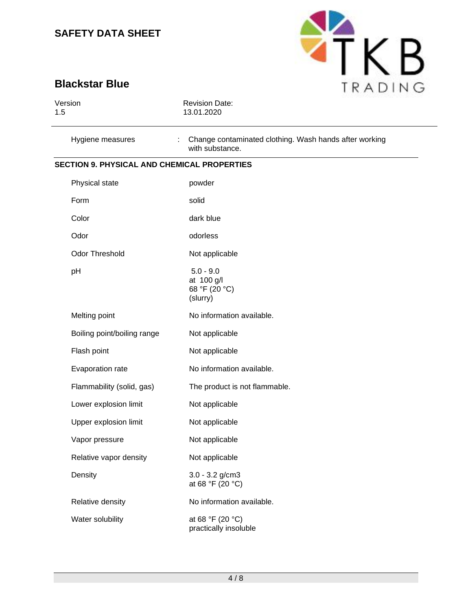

# **Blackstar Blue**

| Version<br>1.5                                     | <b>Revision Date:</b><br>13.01.2020                                            |
|----------------------------------------------------|--------------------------------------------------------------------------------|
| Hygiene measures                                   | Change contaminated clothing. Wash hands after working<br>÷<br>with substance. |
| <b>SECTION 9. PHYSICAL AND CHEMICAL PROPERTIES</b> |                                                                                |
| Physical state                                     | powder                                                                         |
| Form                                               | solid                                                                          |
| Color                                              | dark blue                                                                      |
| Odor                                               | odorless                                                                       |
| Odor Threshold                                     | Not applicable                                                                 |
| pH                                                 | $5.0 - 9.0$<br>at 100 g/l<br>68 °F (20 °C)<br>(slurry)                         |
| Melting point                                      | No information available.                                                      |
| Boiling point/boiling range                        | Not applicable                                                                 |
| Flash point                                        | Not applicable                                                                 |
| Evaporation rate                                   | No information available.                                                      |
| Flammability (solid, gas)                          | The product is not flammable.                                                  |
| Lower explosion limit                              | Not applicable                                                                 |
| Upper explosion limit                              | Not applicable                                                                 |
| Vapor pressure                                     | Not applicable                                                                 |
| Relative vapor density                             | Not applicable                                                                 |
| Density                                            | $3.0 - 3.2$ g/cm3<br>at 68 °F (20 °C)                                          |
| Relative density                                   | No information available.                                                      |
| Water solubility                                   | at 68 °F (20 °C)<br>practically insoluble                                      |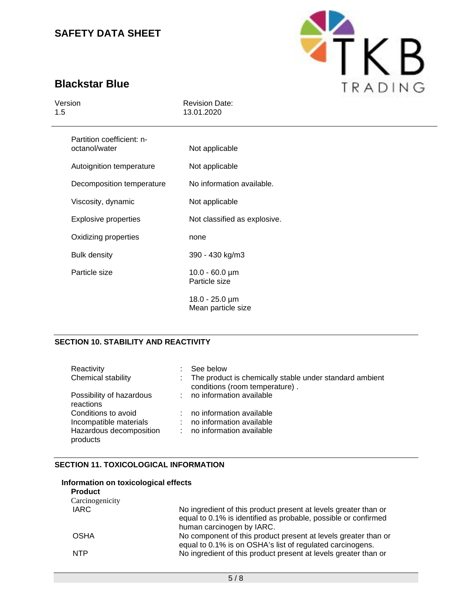

# **Blackstar Blue**

| Version<br>1.5                             | <b>Revision Date:</b><br>13.01.2020                |  |  |
|--------------------------------------------|----------------------------------------------------|--|--|
| Partition coefficient: n-<br>octanol/water | Not applicable                                     |  |  |
| Autoignition temperature                   | Not applicable                                     |  |  |
| Decomposition temperature                  | No information available.                          |  |  |
| Viscosity, dynamic                         | Not applicable                                     |  |  |
| <b>Explosive properties</b>                | Not classified as explosive.                       |  |  |
| Oxidizing properties                       | none                                               |  |  |
| <b>Bulk density</b>                        | 390 - 430 kg/m3                                    |  |  |
| Particle size                              | $10.0 - 60.0 \,\text{\mu m}$<br>Particle size      |  |  |
|                                            | $18.0 - 25.0 \,\text{\mu m}$<br>Mean particle size |  |  |

# **SECTION 10. STABILITY AND REACTIVITY**

| Reactivity<br>Chemical stability              |   | See below<br>: The product is chemically stable under standard ambient<br>conditions (room temperature). |
|-----------------------------------------------|---|----------------------------------------------------------------------------------------------------------|
| Possibility of hazardous<br>reactions         |   | : no information available                                                                               |
| Conditions to avoid<br>Incompatible materials | ÷ | no information available<br>no information available                                                     |
| Hazardous decomposition<br>products           |   | no information available                                                                                 |

# **SECTION 11. TOXICOLOGICAL INFORMATION**

### **Information on toxicological effects**

| <b>Product</b>  |                                                                                                                                                                |
|-----------------|----------------------------------------------------------------------------------------------------------------------------------------------------------------|
| Carcinogenicity |                                                                                                                                                                |
| <b>IARC</b>     | No ingredient of this product present at levels greater than or<br>equal to 0.1% is identified as probable, possible or confirmed<br>human carcinogen by IARC. |
| <b>OSHA</b>     | No component of this product present at levels greater than or<br>equal to 0.1% is on OSHA's list of regulated carcinogens.                                    |
| <b>NTP</b>      | No ingredient of this product present at levels greater than or                                                                                                |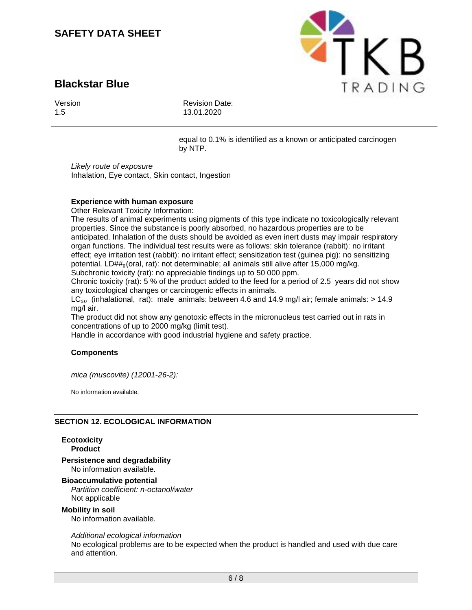# **Blackstar Blue**



Revision Date: 13.01.2020

equal to 0.1% is identified as a known or anticipated carcinogen by NTP.

PTKB

TRADING

*Likely route of exposure* Inhalation, Eye contact, Skin contact, Ingestion

# **Experience with human exposure**

Other Relevant Toxicity Information:

The results of animal experiments using pigments of this type indicate no toxicologically relevant properties. Since the substance is poorly absorbed, no hazardous properties are to be anticipated. Inhalation of the dusts should be avoided as even inert dusts may impair respiratory organ functions. The individual test results were as follows: skin tolerance (rabbit): no irritant effect; eye irritation test (rabbit): no irritant effect; sensitization test (guinea pig): no sensitizing potential. LD##<sub>0</sub>(oral, rat): not determinable; all animals still alive after 15,000 mg/kg. Subchronic toxicity (rat): no appreciable findings up to 50 000 ppm.

Chronic toxicity (rat): 5 % of the product added to the feed for a period of 2.5 years did not show any toxicological changes or carcinogenic effects in animals.

 $LC<sub>50</sub>$  (inhalational, rat): male animals: between 4.6 and 14.9 mg/l air; female animals:  $> 14.9$ mg/l air.

The product did not show any genotoxic effects in the micronucleus test carried out in rats in concentrations of up to 2000 mg/kg (limit test).

Handle in accordance with good industrial hygiene and safety practice.

### **Components**

*mica (muscovite) (12001-26-2):*

No information available.

### **SECTION 12. ECOLOGICAL INFORMATION**

**Ecotoxicity Product**

#### **Persistence and degradability** No information available.

### **Bioaccumulative potential** *Partition coefficient: n-octanol/water*

Not applicable

### **Mobility in soil**

No information available.

### *Additional ecological information*

No ecological problems are to be expected when the product is handled and used with due care and attention.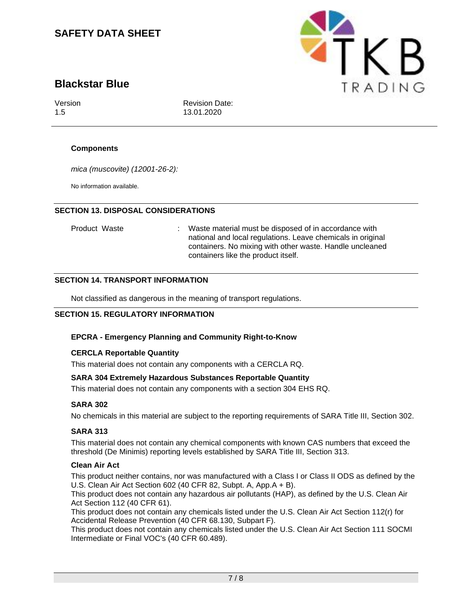# **Blackstar Blue**

Version 1.5

Revision Date: 13.01.2020

# **Components**

*mica (muscovite) (12001-26-2):*

No information available.

# **SECTION 13. DISPOSAL CONSIDERATIONS**

Product Waste : Waste material must be disposed of in accordance with national and local regulations. Leave chemicals in original containers. No mixing with other waste. Handle uncleaned containers like the product itself.

# **SECTION 14. TRANSPORT INFORMATION**

Not classified as dangerous in the meaning of transport regulations.

# **SECTION 15. REGULATORY INFORMATION**

# **EPCRA - Emergency Planning and Community Right-to-Know**

### **CERCLA Reportable Quantity**

This material does not contain any components with a CERCLA RQ.

# **SARA 304 Extremely Hazardous Substances Reportable Quantity**

This material does not contain any components with a section 304 EHS RQ.

# **SARA 302**

No chemicals in this material are subject to the reporting requirements of SARA Title III, Section 302.

### **SARA 313**

This material does not contain any chemical components with known CAS numbers that exceed the threshold (De Minimis) reporting levels established by SARA Title III, Section 313.

### **Clean Air Act**

This product neither contains, nor was manufactured with a Class I or Class II ODS as defined by the U.S. Clean Air Act Section 602 (40 CFR 82, Subpt. A, App.A + B).

This product does not contain any hazardous air pollutants (HAP), as defined by the U.S. Clean Air Act Section 112 (40 CFR 61).

This product does not contain any chemicals listed under the U.S. Clean Air Act Section 112(r) for Accidental Release Prevention (40 CFR 68.130, Subpart F).

This product does not contain any chemicals listed under the U.S. Clean Air Act Section 111 SOCMI Intermediate or Final VOC's (40 CFR 60.489).